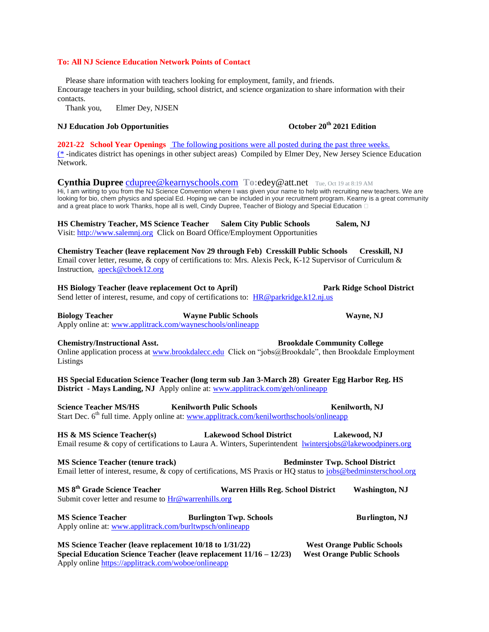### **To: All NJ Science Education Network Points of Contact**

 Please share information with teachers looking for employment, family, and friends. Encourage teachers in your building, school district, and science organization to share information with their contacts.

Thank you, Elmer Dey, NJSEN

## **NJ Education Job Opportunities October 20th 2021 Edition**

**2021-22 School Year Openings** The following positions were all posted during the past three weeks. (\* -indicates district has openings in other subject areas) Compiled by Elmer Dey, New Jersey Science Education Network.

**Cynthia Dupree** [cdupree@kearnyschools.com](mailto:cdupree@kearnyschools.com) **To:**edey@att.net Tue, Oct 19 at 8:19 AM Hi, I am writing to you from the NJ Science Convention where I was given your name to help with recruiting new teachers. We are looking for bio, chem physics and special Ed. Hoping we can be included in your recruitment program. Kearny is a great community and a great place to work Thanks, hope all is well, Cindy Dupree, Teacher of Biology and Special Education  $\Box$ 

**HS Chemistry Teacher, MS Science Teacher Salem City Public Schools Salem, NJ** Visit[: http://www.salemnj.org](http://www.salemnj.org/) Click on Board Office/Employment Opportunities

**Chemistry Teacher (leave replacement Nov 29 through Feb) Cresskill Public Schools Cresskill, NJ** Email cover letter, resume, & copy of certifications to: Mrs. Alexis Peck, K-12 Supervisor of Curriculum & Instruction, [apeck@cboek12.org](mailto:apeck@cboek12.org)

**HS Biology Teacher (leave replacement Oct to April) Park Ridge School District** Send letter of interest, resume, and copy of certifications to: [HR@parkridge.k12.nj.us](mailto:HR@parkridge.k12.nj.us)

**Biology Teacher Wayne Public Schools Wayne, NJ** Apply online at: [www.applitrack.com/wayneschools/onlineapp](http://www.applitrack.com/wayneschools/onlineapp)

### **Chemistry/Instructional Asst. Brookdale Community College**

Online application process at [www.brookdalecc.edu](http://www.brookdalecc.edu/) Click on "jobs@Brookdale", then Brookdale Employment Listings

**HS Special Education Science Teacher (long term sub Jan 3-March 28) Greater Egg Harbor Reg. HS District - Mays Landing, NJ** Apply online at[: www.applitrack.com/geh/onlineapp](http://www.applitrack.com/geh/onlineapp)

**Science Teacher MS/HS Kenilworth Pulic Schools Kenilworth, NJ** Start Dec. 6<sup>th</sup> full time. Apply online at: [www.applitrack.com/kenilworthschools/onlineapp](http://www.applitrack.com/kenilworthschools/onlineapp)

**HS & MS Science Teacher(s) Lakewood School District Lakewood, NJ** Email resume & copy of certifications to Laura A. Winters, Superintendent *[lwintersjobs@lakewoodpiners.org](mailto:lwintersjobs@lakewoodpiners.org)* 

**MS Science Teacher (tenure track)** Bedminster Twp. School District Email letter of interest, resume, & copy of certifications, MS Praxis or HQ status to [jobs@bedminsterschool.org](mailto:jobs@bedminsterschool.org)

**MS 8th Grade Science Teacher Warren Hills Reg. School District Washington, NJ** Submit cover letter and resume to  $Hr@{\text{warmhills.} or g}$ 

**MS Science Teacher Burlington Twp. Schools Burlington, NJ** Apply online at: [www.applitrack.com/burltwpsch/onlineapp](http://www.applitrack.com/burltwpsch/onlineapp)

**MS Science Teacher (leave replacement 10/18 to 1/31/22)** West Orange Public Schools **Special Education Science Teacher (leave replacement 11/16 – 12/23) West Orange Public Schools** Apply online<https://applitrack.com/woboe/onlineapp>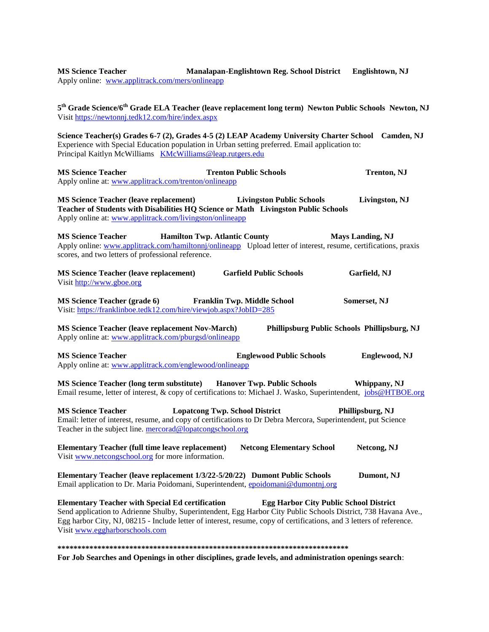**MS Science Teacher Manalapan-Englishtown Reg. School District Englishtown, NJ** Apply online: [www.applitrack.com/mers/onlineapp](http://www.applitrack.com/mers/onlineapp) **5 th Grade Science/6th Grade ELA Teacher (leave replacement long term) Newton Public Schools Newton, NJ** Visit<https://newtonnj.tedk12.com/hire/index.aspx> **Science Teacher(s) Grades 6-7 (2), Grades 4-5 (2) LEAP Academy University Charter School Camden, NJ** Experience with Special Education population in Urban setting preferred. Email application to: Principal Kaitlyn McWilliams [KMcWilliams@leap.rutgers.edu](mailto:KMcWilliams@leap.rutgers.edu) **MS Science Teacher Trenton Public Schools Trenton, NJ** Apply online at: [www.applitrack.com/trenton/onlineapp](http://www.applitrack.com/trenton/onlineapp) **MS Science Teacher (leave replacement) Livingston Public Schools Livingston, NJ Teacher of Students with Disabilities HQ Science or Math Livingston Public Schools** Apply online at: [www.applitrack.com/livingston/onlineapp](http://www.applitrack.com/livingston/onlineapp) **MS Science Teacher Hamilton Twp. Atlantic County Mays Landing, NJ** Apply online: [www.applitrack.com/hamiltonnj/onlineapp](http://www.applitrack.com/hamiltonnj/onlineapp) Upload letter of interest, resume, certifications, praxis scores, and two letters of professional reference. **MS Science Teacher (leave replacement) Garfield Public Schools Garfield, NJ** Visit [http://www.gboe.org](http://www.gboe.org/) **MS Science Teacher (grade 6) Franklin Twp. Middle School Somerset, NJ** Visit[: https://franklinboe.tedk12.com/hire/viewjob.aspx?JobID=285](https://franklinboe.tedk12.com/hire/viewjob.aspx?JobID=285) **MS Science Teacher (leave replacement Nov-March) Phillipsburg Public Schools Phillipsburg, NJ** Apply online at: [www.applitrack.com/pburgsd/onlineapp](http://www.applitrack.com/pburgsd/onlineapp) **MS Science Teacher Englewood Public Schools Englewood, NJ** Apply online at: [www.applitrack.com/englewood/onlineapp](http://www.applitrack.com/englewood/onlineapp) **MS Science Teacher (long term substitute) Hanover Twp. Public Schools Whippany, NJ** Email resume, letter of interest, & copy of certifications to: Michael J. Wasko, Superintendent, [jobs@HTBOE.org](mailto:jobs@HTBOE.org) **MS Science Teacher Lopatcong Twp. School District Phillipsburg, NJ** Email: letter of interest, resume, and copy of certifications to Dr Debra Mercora, Superintendent, put Science Teacher in the subject line. [mercorad@lopatcongschool.org](mailto:mercorad@lopatcongschool.org) **Elementary Teacher (full time leave replacement) Netcong Elementary School Netcong, NJ** Visit [www.netcongschool.org](http://www.netcongschool.org/) for more information. **Elementary Teacher (leave replacement 1/3/22-5/20/22) Dumont Public Schools Dumont, NJ** Email application to Dr. Maria Poidomani, Superintendent, [epoidomani@dumontnj.org](mailto:epoidomani@dumontnj.org) **Elementary Teacher with Special Ed certification Egg Harbor City Public School District**  Send application to Adrienne Shulby, Superintendent, Egg Harbor City Public Schools District, 738 Havana Ave., Egg harbor City, NJ, 08215 - Include letter of interest, resume, copy of certifications, and 3 letters of reference. Visit [www.eggharborschools.com](http://www.eggharborschools.com/) **\*\*\*\*\*\*\*\*\*\*\*\*\*\*\*\*\*\*\*\*\*\*\*\*\*\*\*\*\*\*\*\*\*\*\*\*\*\*\*\*\*\*\*\*\*\*\*\*\*\*\*\*\*\*\*\*\*\*\*\*\*\*\*\*\*\*\*\*\*\*\*\*\* For Job Searches and Openings in other disciplines, grade levels, and administration openings search**: